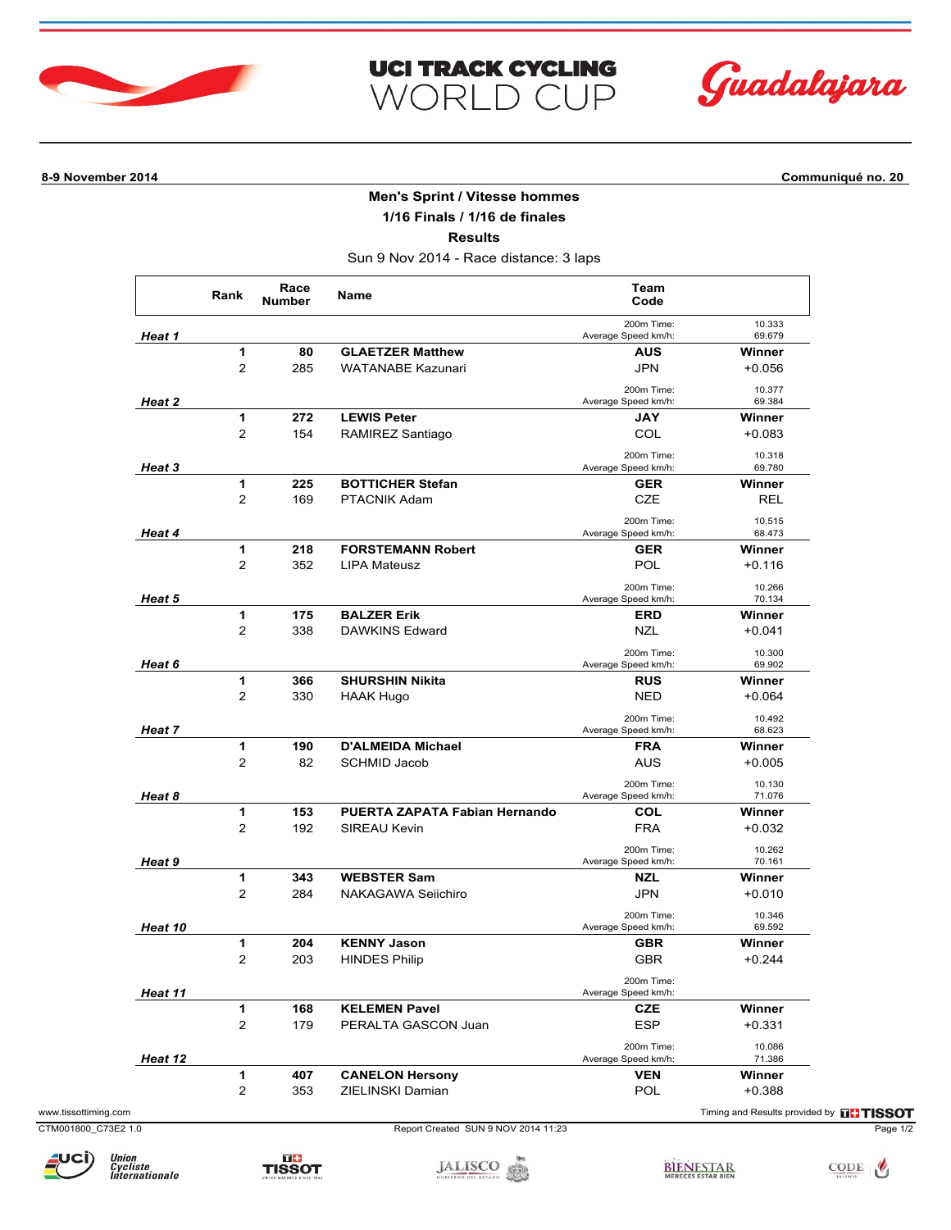



## **8-9 November 2014 Communiqué no. 20**

## **Men's Sprint / Vitesse hommes**

**UCI TRACK CYCLING** 

WORLD CUP

**1/16 Finals / 1/16 de finales**

**Results**

Sun 9 Nov 2014 - Race distance: 3 laps

|                | Rank                    | Race<br><b>Number</b> | Name                          | Team<br>Code                      |                  |
|----------------|-------------------------|-----------------------|-------------------------------|-----------------------------------|------------------|
| Heat 1         |                         |                       |                               | 200m Time:<br>Average Speed km/h: | 10.333<br>69.679 |
|                | 1                       | 80                    | <b>GLAETZER Matthew</b>       | <b>AUS</b>                        | Winner           |
|                | $\overline{2}$          | 285                   | <b>WATANABE Kazunari</b>      | <b>JPN</b>                        | $+0.056$         |
| Heat 2         |                         |                       |                               | 200m Time:<br>Average Speed km/h: | 10.377<br>69.384 |
|                | 1                       | 272                   | <b>LEWIS Peter</b>            | <b>JAY</b>                        | Winner           |
|                | $\overline{\mathbf{c}}$ | 154                   | RAMIREZ Santiago              | COL                               | $+0.083$         |
| Heat 3         |                         |                       |                               | 200m Time:<br>Average Speed km/h: | 10.318<br>69.780 |
|                | 1                       | 225                   | <b>BOTTICHER Stefan</b>       | <b>GER</b>                        | Winner           |
|                | $\overline{2}$          | 169                   | PTACNIK Adam                  | <b>CZE</b>                        | <b>REL</b>       |
|                |                         |                       |                               | 200m Time:                        | 10.515           |
| <b>Heat 4</b>  |                         |                       |                               | Average Speed km/h:               | 68.473           |
|                | 1                       | 218                   | <b>FORSTEMANN Robert</b>      | <b>GER</b>                        | Winner           |
|                | $\overline{2}$          | 352                   | <b>LIPA Mateusz</b>           | POL                               | $+0.116$         |
| <b>Heat 5</b>  |                         |                       |                               | 200m Time:<br>Average Speed km/h: | 10.266<br>70.134 |
|                | 1                       | 175                   | <b>BALZER Erik</b>            | ERD                               | Winner           |
|                | $\overline{2}$          | 338                   | <b>DAWKINS Edward</b>         | <b>NZL</b>                        | $+0.041$         |
| <b>Heat 6</b>  |                         |                       |                               | 200m Time:<br>Average Speed km/h: | 10.300<br>69.902 |
|                | 1                       | 366                   | <b>SHURSHIN Nikita</b>        | <b>RUS</b>                        | Winner           |
|                | $\overline{2}$          | 330                   | <b>HAAK Hugo</b>              | <b>NED</b>                        | $+0.064$         |
| <b>Heat 7</b>  |                         |                       |                               | 200m Time:<br>Average Speed km/h: | 10.492<br>68.623 |
|                | 1                       | 190                   | <b>D'ALMEIDA Michael</b>      | <b>FRA</b>                        | Winner           |
|                | $\overline{2}$          | 82                    | <b>SCHMID Jacob</b>           | <b>AUS</b>                        | $+0.005$         |
|                |                         |                       |                               | 200m Time:                        | 10.130           |
| Heat 8         |                         |                       |                               | Average Speed km/h:               | 71.076           |
|                | 1                       | 153                   | PUERTA ZAPATA Fabian Hernando | <b>COL</b>                        | Winner           |
|                | $\overline{2}$          | 192                   | SIREAU Kevin                  | <b>FRA</b>                        | $+0.032$         |
| Heat 9         |                         |                       |                               | 200m Time:<br>Average Speed km/h: | 10.262<br>70.161 |
|                | 1                       | 343                   | <b>WEBSTER Sam</b>            | <b>NZL</b>                        | Winner           |
|                | $\overline{2}$          | 284                   | NAKAGAWA Seiichiro            | <b>JPN</b>                        | $+0.010$         |
|                |                         |                       |                               | 200m Time:                        | 10.346           |
| <b>Heat 10</b> |                         |                       |                               | Average Speed km/h:               | 69.592           |
|                | 1                       | 204                   | <b>KENNY Jason</b>            | <b>GBR</b>                        | Winner           |
|                | $\overline{2}$          | 203                   | <b>HINDES Philip</b>          | <b>GBR</b>                        | $+0.244$         |
| Heat 11        |                         |                       |                               | 200m Time:<br>Average Speed km/h: |                  |
|                | 1                       | 168                   | <b>KELEMEN Pavel</b>          | CZE                               | Winner           |
|                | $\overline{\mathbf{c}}$ | 179                   | PERALTA GASCON Juan           | <b>ESP</b>                        | $+0.331$         |
| Heat 12        |                         |                       |                               | 200m Time:<br>Average Speed km/h: | 10.086<br>71.386 |
|                | 1                       | 407                   | <b>CANELON Hersony</b>        | <b>VEN</b>                        | Winner           |
|                |                         |                       | ZIELINSKI Damian              | POL                               | $+0.388$         |
|                | 2                       | 353                   |                               |                                   |                  |





JALISCO SE ESTADO